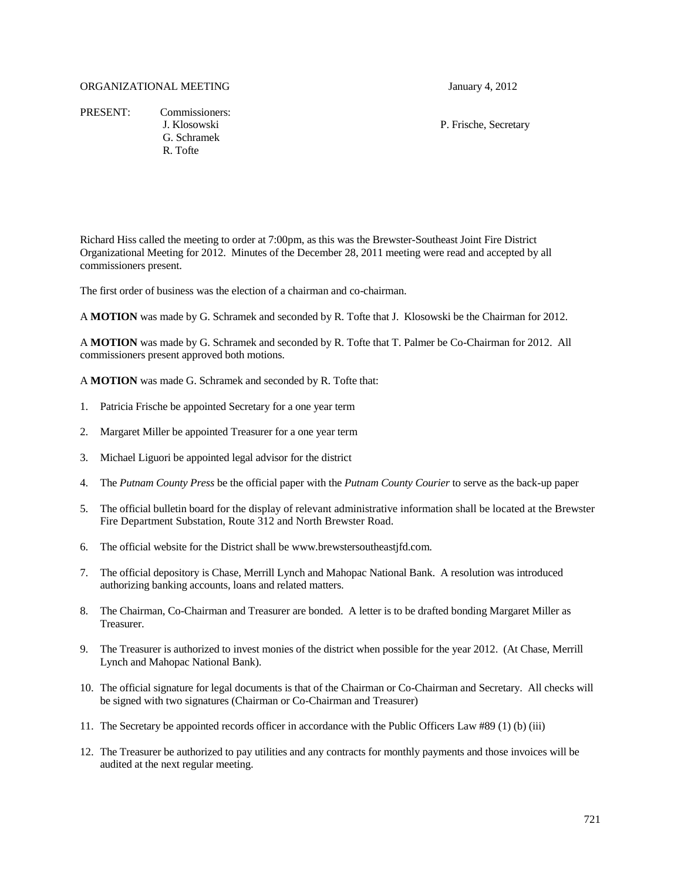## ORGANIZATIONAL MEETING January 4, 2012

PRESENT: Commissioners: G. Schramek R. Tofte

J. Klosowski P. Frische, Secretary

Richard Hiss called the meeting to order at 7:00pm, as this was the Brewster-Southeast Joint Fire District Organizational Meeting for 2012. Minutes of the December 28, 2011 meeting were read and accepted by all commissioners present.

The first order of business was the election of a chairman and co-chairman.

A **MOTION** was made by G. Schramek and seconded by R. Tofte that J. Klosowski be the Chairman for 2012.

A **MOTION** was made by G. Schramek and seconded by R. Tofte that T. Palmer be Co-Chairman for 2012. All commissioners present approved both motions.

A **MOTION** was made G. Schramek and seconded by R. Tofte that:

- 1. Patricia Frische be appointed Secretary for a one year term
- 2. Margaret Miller be appointed Treasurer for a one year term
- 3. Michael Liguori be appointed legal advisor for the district
- 4. The *Putnam County Press* be the official paper with the *Putnam County Courier* to serve as the back-up paper
- 5. The official bulletin board for the display of relevant administrative information shall be located at the Brewster Fire Department Substation, Route 312 and North Brewster Road.
- 6. The official website for the District shall be www.brewstersoutheastjfd.com.
- 7. The official depository is Chase, Merrill Lynch and Mahopac National Bank. A resolution was introduced authorizing banking accounts, loans and related matters.
- 8. The Chairman, Co-Chairman and Treasurer are bonded. A letter is to be drafted bonding Margaret Miller as Treasurer.
- 9. The Treasurer is authorized to invest monies of the district when possible for the year 2012. (At Chase, Merrill Lynch and Mahopac National Bank).
- 10. The official signature for legal documents is that of the Chairman or Co-Chairman and Secretary. All checks will be signed with two signatures (Chairman or Co-Chairman and Treasurer)
- 11. The Secretary be appointed records officer in accordance with the Public Officers Law #89 (1) (b) (iii)
- 12. The Treasurer be authorized to pay utilities and any contracts for monthly payments and those invoices will be audited at the next regular meeting.